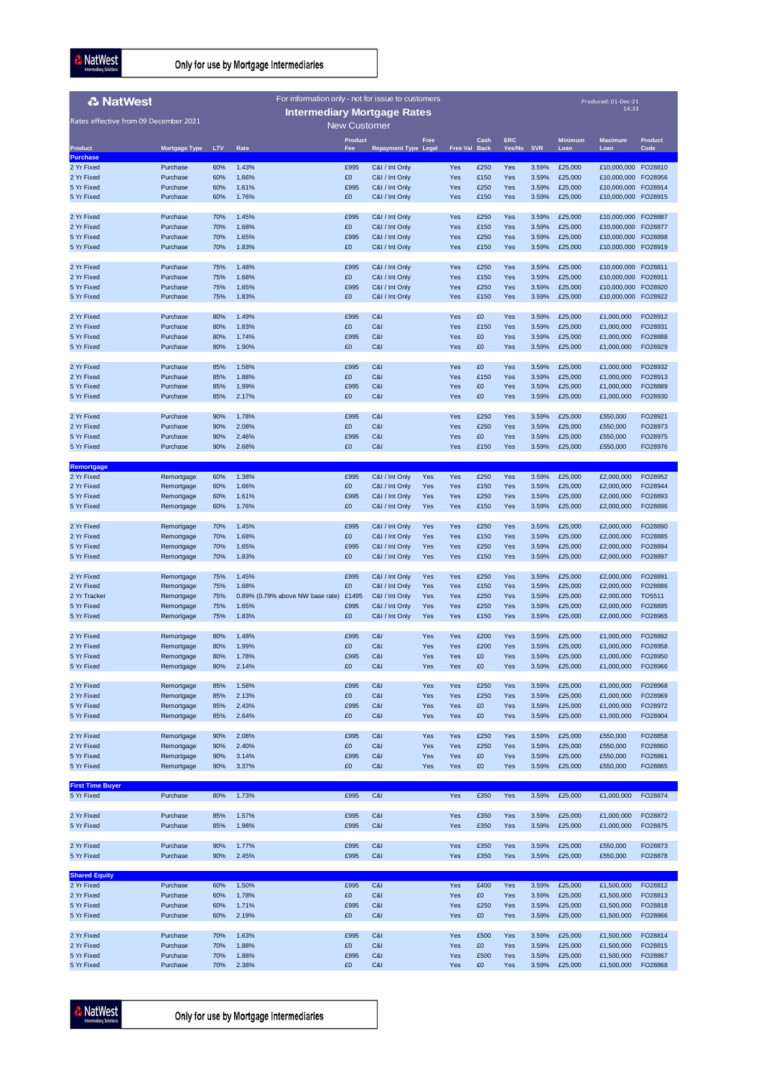**A** NatWest

Only for use by Mortgage Intermediaries

| <b>2 NatWest</b>                      |                      |            | For information only - not for issue to customers |                     |                             |             |                      |              |            |                |                    | Produced: 01-Dec-21<br>14:33 |                    |
|---------------------------------------|----------------------|------------|---------------------------------------------------|---------------------|-----------------------------|-------------|----------------------|--------------|------------|----------------|--------------------|------------------------------|--------------------|
| Rates effective from 09 December 2021 |                      |            | <b>Intermediary Mortgage Rates</b>                | <b>New Customer</b> |                             |             |                      |              |            |                |                    |                              |                    |
|                                       |                      |            |                                                   | <b>Product</b>      |                             | <b>Free</b> |                      | Cash         | <b>ERC</b> |                | <b>Minimum</b>     | <b>Maximum</b>               | <b>Product</b>     |
| <b>Product</b><br><b>Purchase</b>     | <b>Mortgage Type</b> | <b>LTV</b> | Rate                                              | Fee                 | <b>Repayment Type Legal</b> |             | <b>Free Val Back</b> |              | Yes/No     | <b>SVR</b>     | Loan               | Loan                         | Code               |
| 2 Yr Fixed                            | Purchase             | 60%        | 1.43%                                             | £995                | C&I / Int Only              |             | Yes                  | £250         | Yes        | 3.59%          | £25,000            | £10,000,000                  | FO28810            |
| 2 Yr Fixed                            | Purchase             | 60%        | 1.66%                                             | £0                  | C&I / Int Only              |             | Yes                  | £150         | Yes        | 3.59%          | £25,000            | £10,000,000                  | FO28956            |
| 5 Yr Fixed                            | Purchase             | 60%        | 1.61%                                             | £995                | C&I / Int Only              |             | Yes                  | £250         | Yes        | 3.59%          | £25,000            | £10,000,000                  | FO28914            |
| 5 Yr Fixed                            | Purchase             | 60%        | 1.76%                                             | £0                  | C&I / Int Only              |             | Yes                  | £150         | Yes        | 3.59%          | £25,000            | £10,000,000 FO28915          |                    |
| 2 Yr Fixed                            | Purchase             | 70%        | 1.45%                                             | £995                | C&I / Int Only              |             | Yes                  | £250         | Yes        | 3.59%          | £25,000            | £10,000,000                  | FO28887            |
| 2 Yr Fixed                            | Purchase             | 70%        | 1.68%                                             | £0                  | C&I / Int Only              |             | Yes                  | £150         | Yes        | 3.59%          | £25,000            | £10,000,000                  | FO28877            |
| 5 Yr Fixed                            | Purchase             | 70%        | 1.65%                                             | £995                | C&I / Int Only              |             | Yes                  | £250         | Yes        | 3.59%          | £25,000            | £10,000,000                  | FO28898            |
| 5 Yr Fixed                            | Purchase             | 70%        | 1.83%                                             | £0                  | C&I / Int Only              |             | Yes                  | £150         | Yes        | 3.59%          | £25,000            | £10,000,000 FO28919          |                    |
| 2 Yr Fixed                            | Purchase             | 75%        | 1.48%                                             | £995                | C&I / Int Only              |             | Yes                  | £250         | Yes        | 3.59%          | £25,000            | £10,000,000                  | FO28811            |
| 2 Yr Fixed                            | Purchase             | 75%        | 1.68%                                             | £0                  | C&I / Int Only              |             | Yes                  | £150         | Yes        | 3.59%          | £25,000            | £10,000,000                  | FO28911            |
| 5 Yr Fixed                            | Purchase             | 75%        | 1.65%                                             | £995                | C&I / Int Only              |             | Yes                  | £250         | Yes        | 3.59%          | £25,000            | £10,000,000                  | FO28920            |
| 5 Yr Fixed                            | Purchase             | 75%        | 1.83%                                             | £0                  | C&I / Int Only              |             | Yes                  | £150         | Yes        | 3.59%          | £25,000            | £10,000,000                  | FO28922            |
| 2 Yr Fixed                            | Purchase             | 80%        | 1.49%                                             | £995                | C&I                         |             | Yes                  | £0           | Yes        | 3.59%          | £25,000            | £1,000,000                   | FO28912            |
| 2 Yr Fixed                            | Purchase             | 80%        | 1.83%                                             | £0                  | C&I                         |             | Yes                  | £150         | Yes        | 3.59%          | £25,000            | £1,000,000                   | FO28931            |
| 5 Yr Fixed                            | Purchase             | 80%        | 1.74%                                             | £995                | C&I                         |             | Yes                  | £0           | Yes        | 3.59%          | £25,000            | £1,000,000                   | FO28888            |
| 5 Yr Fixed                            | Purchase             | 80%        | 1.90%                                             | $\pounds 0$         | C&I                         |             | Yes                  | £0           | Yes        | 3.59%          | £25,000            | £1,000,000                   | FO28929            |
| 2 Yr Fixed                            | Purchase             | 85%        | 1.58%                                             | £995                | C&I                         |             | Yes                  | £0           | Yes        | 3.59%          | £25,000            | £1,000,000                   | FO28932            |
| 2 Yr Fixed                            | Purchase             | 85%        | 1.88%                                             | £0                  | C&I                         |             | Yes                  | £150         | Yes        | 3.59%          | £25,000            | £1,000,000                   | FO28913            |
| 5 Yr Fixed                            | Purchase             | 85%        | 1.99%                                             | £995                | C&I                         |             | Yes                  | £0           | Yes        | 3.59%          | £25,000            | £1,000,000                   | FO28889            |
| 5 Yr Fixed                            | Purchase             | 85%        | 2.17%                                             | £0                  | C&I                         |             | Yes                  | £0           | Yes        | 3.59%          | £25,000            | £1,000,000                   | FO28930            |
| 2 Yr Fixed                            | Purchase             | 90%        | 1.78%                                             | £995                | C&I                         |             | Yes                  | £250         | Yes        | 3.59%          | £25,000            | £550,000                     | FO28921            |
| 2 Yr Fixed                            | Purchase             | 90%        | 2.08%                                             | £0                  | C&I                         |             | Yes                  | £250         | Yes        | 3.59%          | £25,000            | £550,000                     | FO28973            |
| 5 Yr Fixed                            | Purchase             | 90%        | 2.46%                                             | £995                | C&I                         |             | Yes                  | £0           | Yes        | 3.59%          | £25,000            | £550,000                     | FO28975            |
| 5 Yr Fixed                            | Purchase             | 90%        | 2.68%                                             | $\pounds 0$         | C&I                         |             | Yes                  | £150         | Yes        | 3.59%          | £25,000            | £550,000                     | FO28976            |
| Remortgage                            |                      |            |                                                   |                     |                             |             |                      |              |            |                |                    |                              |                    |
| 2 Yr Fixed                            | Remortgage           | 60%        | 1.38%                                             | £995                | C&I / Int Only              | Yes         | Yes                  | £250         | Yes        | 3.59%          | £25,000            | £2,000,000                   | FO28952            |
| 2 Yr Fixed                            | Remortgage           | 60%        | 1.66%                                             | £0                  | C&I / Int Only              | Yes         | Yes                  | £150         | Yes        | 3.59%          | £25,000            | £2,000,000                   | FO28944            |
| 5 Yr Fixed                            | Remortgage           | 60%        | 1.61%                                             | £995                | C&I / Int Only              | Yes         | Yes                  | £250         | Yes        | 3.59%          | £25,000            | £2,000,000                   | FO28893            |
| 5 Yr Fixed                            | Remortgage           | 60%        | 1.76%                                             | £0                  | C&I / Int Only              | Yes         | Yes                  | £150         | Yes        | 3.59%          | £25,000            | £2,000,000                   | FO28896            |
| 2 Yr Fixed                            | Remortgage           | 70%        | 1.45%                                             | £995                | C&I / Int Only              | Yes         | Yes                  | £250         | Yes        | 3.59%          | £25,000            | £2,000,000                   | FO28890            |
| 2 Yr Fixed                            | Remortgage           | 70%        | 1.68%                                             | £0                  | C&I / Int Only              | Yes         | Yes                  | £150         | Yes        | 3.59%          | £25,000            | £2,000,000                   | FO28885            |
| 5 Yr Fixed                            | Remortgage           | 70%        | 1.65%                                             | £995                | C&I / Int Only              | Yes         | Yes                  | £250         | Yes        | 3.59%          | £25,000            | £2,000,000                   | FO28894            |
| 5 Yr Fixed                            | Remortgage           | 70%        | 1.83%                                             | $\pounds 0$         | C&I / Int Only              | Yes         | Yes                  | £150         | Yes        | 3.59%          | £25,000            | £2,000,000                   | FO28897            |
| 2 Yr Fixed                            | Remortgage           | 75%        | 1.45%                                             | £995                | C&I / Int Only              | Yes         | Yes                  | £250         | Yes        | 3.59%          | £25,000            | £2,000,000                   | FO28891            |
| 2 Yr Fixed                            | Remortgage           | 75%        | 1.68%                                             | £0                  | C&I / Int Only              | Yes         | Yes                  | £150         | Yes        | 3.59%          | £25,000            | £2,000,000                   | FO28886            |
| 2 Yr Tracker                          | Remortgage           | 75%        | 0.89% (0.79% above NW base rate)                  | £1495               | C&I / Int Only              | Yes         | Yes                  | £250         | Yes        | 3.59%          | £25,000            | £2,000,000                   | TO5511             |
| 5 Yr Fixed                            | Remortgage           | 75%        | 1.65%                                             | £995                | C&I / Int Only              | Yes         | Yes                  | £250         | Yes        | 3.59%          | £25,000            | £2,000,000                   | FO28895            |
| 5 Yr Fixed                            | Remortgage           | 75%        | 1.83%                                             | £0                  | C&I / Int Only              | Yes         | Yes                  | £150         | Yes        | 3.59%          | £25,000            | £2,000,000                   | FO28965            |
| 2 Yr Fixed                            | Remortgage           | 80%        | 1.48%                                             | £995                | C&I                         | Yes         | Yes                  | £200         | Yes        | 3.59%          | £25,000            | £1,000,000                   | FO28892            |
| 2 Yr Fixed                            | Remortgage           | 80%        | 1.99%                                             | £0                  | C&I                         | Yes         | Yes                  | £200         | Yes        | 3.59%          | £25,000            | £1,000,000                   | FO28958            |
| 5 Yr Fixed                            | Remortgage           | 80%        | 1.78%                                             | £995                | C&I                         | Yes         | Yes                  | £0           | Yes        | 3.59%          | £25,000            | £1,000,000                   | FO28950            |
| 5 Yr Fixed                            | Remortgage           | 80%        | 2.14%                                             | £0                  | C&I                         | Yes         | Yes                  | £0           | Yes        | 3.59%          | £25,000            | £1,000,000                   | FO28966            |
| 2 Yr Fixed                            | Remortgage           | 85%        | 1.58%                                             | £995                | C&I                         | Yes         | Yes                  | £250         | Yes        | 3.59%          | £25,000            | £1,000,000                   | FO28968            |
| 2 Yr Fixed                            | Remortgage           | 85%        | 2.13%                                             | £0                  | C&I                         | Yes         | Yes                  | £250         | Yes        | 3.59%          | £25,000            | £1,000,000                   | FO28969            |
| 5 Yr Fixed                            | Remortgage           | 85%        | 2.43%                                             | £995                | C&I                         | Yes         | Yes                  | £0           | Yes        | 3.59%          | £25,000            | £1,000,000                   | FO28972            |
| 5 Yr Fixed                            | Remortgage           | 85%        | 2.64%                                             | £0                  | C&I                         | Yes         | Yes                  | £0           | Yes        | 3.59%          | £25,000            | £1,000,000                   | FO28904            |
| 2 Yr Fixed                            | Remortgage           | 90%        | 2.08%                                             | £995                | C&I                         | Yes         | Yes                  | £250         | Yes        | 3.59%          | £25,000            | £550,000                     | FO28858            |
| 2 Yr Fixed                            | Remortgage           | 90%        | 2.40%                                             | £0                  | C&I                         | Yes         | Yes                  | £250         | Yes        | 3.59%          | £25,000            | £550,000                     | FO28860            |
| 5 Yr Fixed                            | Remortgage           | 90%        | 3.14%                                             | £995                | C&I                         | Yes         | Yes                  | £0           | Yes        | 3.59%          | £25,000            | £550,000                     | FO28861            |
| 5 Yr Fixed                            | Remortgage           | 90%        | 3.37%                                             | £0                  | C&I                         | Yes         | Yes                  | £0           | Yes        | 3.59%          | £25,000            | £550,000                     | FO28865            |
| <b>First Time Buyer</b>               |                      |            |                                                   |                     |                             |             |                      |              |            |                |                    |                              |                    |
| 5 Yr Fixed                            | Purchase             | 80%        | 1.73%                                             | £995                | C&I                         |             | Yes                  | £350         | Yes        | 3.59%          | £25,000            | £1,000,000                   | FO28874            |
| 2 Yr Fixed                            | Purchase             | 85%        | 1.57%                                             | £995                | C&I                         |             | Yes                  | £350         | Yes        | 3.59%          | £25,000            | £1,000,000                   | FO28872            |
| 5 Yr Fixed                            | Purchase             | 85%        | 1.98%                                             | £995                | C&I                         |             | Yes                  | £350         | Yes        | 3.59%          | £25,000            | £1,000,000                   | FO28875            |
|                                       |                      |            |                                                   |                     |                             |             |                      |              |            |                |                    |                              |                    |
| 2 Yr Fixed<br>5 Yr Fixed              | Purchase<br>Purchase | 90%<br>90% | 1.77%<br>2.45%                                    | £995<br>£995        | C&I<br>C&I                  |             | Yes<br>Yes           | £350<br>£350 | Yes<br>Yes | 3.59%<br>3.59% | £25,000<br>£25,000 | £550,000<br>£550,000         | FO28873<br>FO28878 |
|                                       |                      |            |                                                   |                     |                             |             |                      |              |            |                |                    |                              |                    |
| <b>Shared Equity</b>                  |                      |            |                                                   |                     |                             |             |                      |              |            |                |                    |                              |                    |
| 2 Yr Fixed<br>2 Yr Fixed              | Purchase<br>Purchase | 60%<br>60% | 1.50%<br>1.78%                                    | £995<br>£0          | C&I<br>C&I                  |             | Yes<br>Yes           | £400<br>£0   | Yes<br>Yes | 3.59%<br>3.59% | £25,000<br>£25,000 | £1,500,000<br>£1,500,000     | FO28812<br>FO28813 |
| 5 Yr Fixed                            | Purchase             | 60%        | 1.71%                                             | £995                | C&I                         |             | Yes                  | £250         | Yes        | 3.59%          | £25,000            | £1,500,000                   | FO28818            |
| 5 Yr Fixed                            | Purchase             | 60%        | 2.19%                                             | £0                  | C&I                         |             | Yes                  | £0           | Yes        | 3.59%          | £25,000            | £1,500,000                   | FO28866            |
|                                       |                      |            |                                                   |                     |                             |             |                      |              |            |                |                    |                              |                    |
| 2 Yr Fixed<br>2 Yr Fixed              | Purchase<br>Purchase | 70%<br>70% | 1.63%<br>1.88%                                    | £995<br>£0          | C&I<br>C&I                  |             | Yes<br>Yes           | £500<br>£0   | Yes<br>Yes | 3.59%<br>3.59% | £25,000<br>£25,000 | £1,500,000<br>£1,500,000     | FO28814<br>FO28815 |
| 5 Yr Fixed                            | Purchase             | 70%        | 1.88%                                             | £995                | C&I                         |             | Yes                  | £500         | Yes        | 3.59%          | £25,000            | £1,500,000                   | FO28867            |
| 5 Yr Fixed                            | Purchase             | 70%        | 2.38%                                             | £0                  | C&I                         |             | Yes                  | £0           | Yes        | 3.59%          | £25,000            | £1,500,000                   | FO28868            |

**A** NatWest

Only for use by Mortgage Intermediaries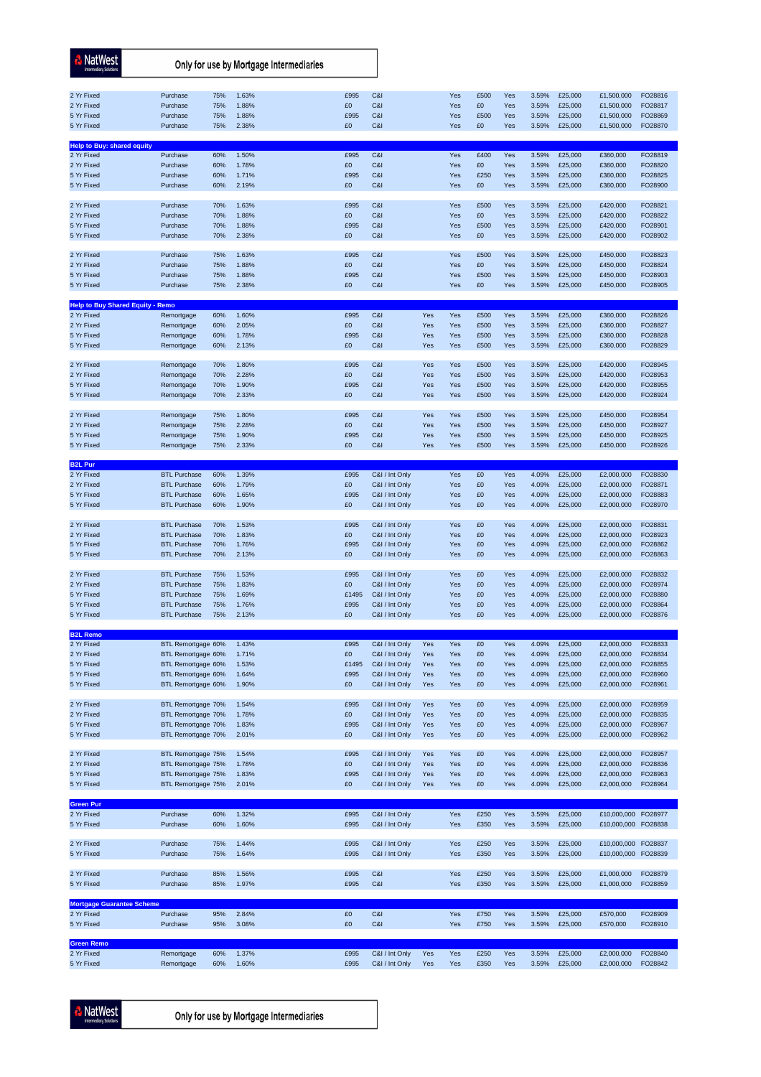| <b>NatWest</b><br><b>Intermediary Solutions</b>                             |                                              |                          | Only for use by Mortgage Intermediaries |                          |                                  |                   |                          |                          |                          |                                  |                                          |                                                      |                                          |
|-----------------------------------------------------------------------------|----------------------------------------------|--------------------------|-----------------------------------------|--------------------------|----------------------------------|-------------------|--------------------------|--------------------------|--------------------------|----------------------------------|------------------------------------------|------------------------------------------------------|------------------------------------------|
| 2 Yr Fixed<br>2 Yr Fixed<br>5 Yr Fixed<br>5 Yr Fixed                        | Purchase<br>Purchase<br>Purchase<br>Purchase | 75%<br>75%<br>75%<br>75% | 1.63%<br>1.88%<br>1.88%<br>2.38%        | £995<br>£0<br>£995<br>£0 | C&I<br>C&I<br>C&I<br>C&I         |                   | Yes<br>Yes<br>Yes<br>Yes | £500<br>£0<br>£500<br>£0 | Yes<br>Yes<br>Yes<br>Yes | 3.59%<br>3.59%<br>3.59%<br>3.59% | £25,000<br>£25,000<br>£25,000<br>£25,000 | £1,500,000<br>£1,500,000<br>£1,500,000<br>£1,500,000 | FO28816<br>FO28817<br>FO28869<br>FO28870 |
| <b>Help to Buy: shared equity</b><br>2 Yr Fixed<br>2 Yr Fixed<br>5 Yr Fixed | Purchase<br>Purchase<br>Purchase             | 60%<br>60%<br>60%        | 1.50%<br>1.78%<br>1.71%                 | £995<br>£0<br>£995       | C&I<br>C&I<br>C&I                |                   | Yes<br>Yes<br>Yes        | £400<br>£0<br>£250       | Yes<br>Yes<br>Yes        | 3.59%<br>3.59%<br>3.59%          | £25,000<br>£25,000<br>£25,000            | £360,000<br>£360,000<br>£360,000                     | FO28819<br>FO28820<br>FO28825            |
| 5 Yr Fixed<br>2 Yr Fixed<br>2 Yr Fixed                                      | Purchase<br>Purchase<br>Purchase             | 60%<br>70%<br>70%        | 2.19%<br>1.63%<br>1.88%                 | £0<br>£995<br>£0         | C&I<br>C&I<br>C&I                |                   | Yes<br>Yes<br>Yes        | £0<br>£500<br>£0         | Yes<br>Yes<br>Yes        | 3.59%<br>3.59%<br>3.59%          | £25,000<br>£25,000<br>£25,000            | £360,000<br>£420,000<br>£420,000                     | FO28900<br>FO28821<br>FO28822            |
| 5 Yr Fixed<br>5 Yr Fixed<br>2 Yr Fixed                                      | Purchase<br>Purchase<br>Purchase             | 70%<br>70%<br>75%        | 1.88%<br>2.38%<br>1.63%                 | £995<br>£0<br>£995       | C&I<br>C&I<br>C&I                |                   | Yes<br>Yes<br>Yes        | £500<br>£0<br>£500       | Yes<br>Yes<br>Yes        | 3.59%<br>3.59%<br>3.59%          | £25,000<br>£25,000<br>£25,000            | £420,000<br>£420,000<br>£450,000                     | FO28901<br>FO28902<br>FO28823            |
| 2 Yr Fixed<br>5 Yr Fixed<br>5 Yr Fixed                                      | Purchase<br>Purchase<br>Purchase             | 75%<br>75%<br>75%        | 1.88%<br>1.88%<br>2.38%                 | £0<br>£995<br>£0         | C&I<br>C&I<br>C&I                |                   | Yes<br>Yes<br>Yes        | £0<br>£500<br>£0         | Yes<br>Yes<br>Yes        | 3.59%<br>3.59%<br>3.59%          | £25,000<br>£25,000<br>£25,000            | £450,000<br>£450,000<br>£450,000                     | FO28824<br>FO28903<br>FO28905            |
| <b>Help to Buy Shared Equity - Remo</b><br>2 Yr Fixed                       |                                              | 60%                      | 1.60%                                   | £995                     | C&I                              | Yes               | Yes                      | £500                     | Yes                      | 3.59%                            | £25,000                                  | £360,000                                             | FO28826                                  |
| 2 Yr Fixed                                                                  | Remortgage<br>Remortgage                     | 60%                      | 2.05%                                   | £0                       | C&I                              | Yes               | Yes                      | £500                     | Yes                      | 3.59%                            | £25,000                                  | £360,000                                             | FO28827                                  |
| 5 Yr Fixed                                                                  | Remortgage                                   | 60%                      | 1.78%                                   | £995                     | C&I                              | Yes               | Yes                      | £500                     | Yes                      | 3.59%                            | £25,000                                  | £360,000                                             | FO28828                                  |
| 5 Yr Fixed                                                                  | Remortgage                                   | 60%                      | 2.13%                                   | $\pounds 0$              | C&I                              | Yes               | Yes                      | £500                     | Yes                      | 3.59%                            | £25,000                                  | £360,000                                             | FO28829                                  |
| 2 Yr Fixed                                                                  | Remortgage                                   | 70%                      | 1.80%                                   | £995                     | C&I                              | Yes               | Yes                      | £500                     | Yes                      | 3.59%                            | £25,000                                  | £420,000                                             | FO28945                                  |
| 2 Yr Fixed<br>5 Yr Fixed<br>5 Yr Fixed                                      | Remortgage<br>Remortgage<br>Remortgage       | 70%<br>70%<br>70%        | 2.28%<br>1.90%<br>2.33%                 | £0<br>£995<br>£0         | C&I<br>C&I<br>C&I                | Yes<br>Yes<br>Yes | Yes<br>Yes<br>Yes        | £500<br>£500<br>£500     | Yes<br>Yes<br>Yes        | 3.59%<br>3.59%<br>3.59%          | £25,000<br>£25,000<br>£25,000            | £420,000<br>£420,000<br>£420,000                     | FO28953<br>FO28955<br>FO28924            |
| 2 Yr Fixed                                                                  | Remortgage                                   | 75%                      | 1.80%                                   | £995                     | C&I                              | Yes               | Yes                      | £500                     | Yes                      | 3.59%                            | £25,000                                  | £450,000                                             | FO28954                                  |
| 2 Yr Fixed                                                                  | Remortgage                                   | 75%                      | 2.28%                                   | £0                       | C&I                              | Yes               | Yes                      | £500                     | Yes                      | 3.59%                            | £25,000                                  | £450,000                                             | FO28927                                  |
| 5 Yr Fixed<br>5 Yr Fixed                                                    | Remortgage<br>Remortgage                     | 75%<br>75%               | 1.90%<br>2.33%                          | £995<br>£0               | C&I<br>C&I                       | Yes<br>Yes        | Yes<br>Yes               | £500<br>£500             | Yes<br>Yes               | 3.59%<br>3.59%                   | £25,000<br>£25,000                       | £450,000<br>£450,000                                 | FO28925<br>FO28926                       |
|                                                                             |                                              |                          |                                         |                          |                                  |                   |                          |                          |                          |                                  |                                          |                                                      |                                          |
| <b>B2L Pur</b><br>2 Yr Fixed                                                | <b>BTL Purchase</b>                          | 60%                      | 1.39%                                   | £995                     | C&I / Int Only                   |                   | Yes                      | £0                       | Yes                      | 4.09%                            | £25,000                                  | £2,000,000                                           | FO28830                                  |
| 2 Yr Fixed                                                                  | <b>BTL Purchase</b>                          | 60%                      | 1.79%                                   | £0                       | C&I / Int Only                   |                   | Yes                      | £0                       | Yes                      | 4.09%                            | £25,000                                  | £2,000,000                                           | FO28871                                  |
| 5 Yr Fixed<br>5 Yr Fixed                                                    | <b>BTL Purchase</b><br><b>BTL Purchase</b>   | 60%<br>60%               | 1.65%<br>1.90%                          | £995<br>£0               | C&I / Int Only<br>C&I / Int Only |                   | Yes<br>Yes               | £0<br>£0                 | Yes<br>Yes               | 4.09%<br>4.09%                   | £25,000<br>£25,000                       | £2,000,000<br>£2,000,000                             | FO28883<br>FO28970                       |
| 2 Yr Fixed                                                                  | <b>BTL Purchase</b>                          | 70%                      | 1.53%                                   | £995                     | C&I / Int Only                   |                   | Yes                      | £0                       | Yes                      | 4.09%                            | £25,000                                  | £2,000,000                                           | FO28831                                  |
| 2 Yr Fixed<br>5 Yr Fixed                                                    | <b>BTL Purchase</b><br><b>BTL Purchase</b>   | 70%<br>70%               | 1.83%<br>1.76%                          | £0<br>£995               | C&I / Int Only<br>C&I / Int Only |                   | Yes<br>Yes               | £0<br>£0                 | Yes<br>Yes               | 4.09%<br>4.09%                   | £25,000<br>£25,000                       | £2,000,000<br>£2,000,000                             | FO28923<br>FO28862                       |
| 5 Yr Fixed                                                                  | <b>BTL Purchase</b>                          | 70%                      | 2.13%                                   | £0                       | C&I / Int Only                   |                   | Yes                      | £0                       | Yes                      | 4.09%                            | £25,000                                  | £2,000,000                                           | FO28863                                  |
|                                                                             |                                              |                          |                                         |                          |                                  |                   |                          |                          |                          |                                  |                                          |                                                      |                                          |
| 2 Yr Fixed<br>2 Yr Fixed                                                    | <b>BTL Purchase</b><br><b>BTL Purchase</b>   | 75%<br>75%               | 1.53%<br>1.83%                          | £995<br>£0               | C&I / Int Only<br>C&I / Int Only |                   | Yes<br>Yes               | £0<br>£0                 | Yes<br>Yes               | 4.09%<br>4.09%                   | £25,000<br>£25,000                       | £2,000,000<br>£2,000,000                             | FO28832<br>FO28974                       |
| 5 Yr Fixed                                                                  | <b>BTL Purchase</b>                          | 75%                      | 1.69%                                   | £1495                    | C&I / Int Only                   |                   | Yes                      | £0                       | Yes                      | 4.09%                            | £25,000                                  | £2,000,000                                           | FO28880                                  |
| 5 Yr Fixed                                                                  | <b>BTL Purchase</b>                          | 75%                      | 1.76%                                   | £995<br>£0               | C&I / Int Only                   |                   | Yes                      | £0                       | Yes                      | 4.09%                            | £25,000<br>£25,000                       | £2,000,000                                           | FO28864                                  |
| 5 Yr Fixed                                                                  | <b>BTL Purchase</b>                          | 75%                      | 2.13%                                   |                          | C&I / Int Only                   |                   | Yes                      | £0                       | Yes                      | 4.09%                            |                                          | £2,000,000                                           | FO28876                                  |
| <b>B2L Remo</b>                                                             |                                              |                          |                                         |                          |                                  |                   |                          |                          |                          |                                  |                                          |                                                      |                                          |
| 2 Yr Fixed<br>2 Yr Fixed                                                    | BTL Remortgage 60%<br>BTL Remortgage 60%     |                          | 1.43%<br>1.71%                          | £995<br>£0               | C&I / Int Only<br>C&I / Int Only | Yes<br>Yes        | Yes<br>Yes               | £0<br>£0                 | Yes<br>Yes               | 4.09%<br>4.09%                   | £25,000<br>£25,000                       | £2,000,000<br>£2,000,000                             | FO28833<br>FO28834                       |
| 5 Yr Fixed                                                                  | BTL Remortgage 60%                           |                          | 1.53%                                   | £1495                    | C&I / Int Only                   | Yes               | Yes                      | £0                       | Yes                      | 4.09%                            | £25,000                                  | £2,000,000                                           | FO28855                                  |
| 5 Yr Fixed<br>5 Yr Fixed                                                    | BTL Remortgage 60%<br>BTL Remortgage 60%     |                          | 1.64%<br>1.90%                          | £995<br>£0               | C&I / Int Only<br>C&I / Int Only | Yes<br>Yes        | Yes<br>Yes               | £0<br>£0                 | Yes<br>Yes               | 4.09%<br>4.09%                   | £25,000<br>£25,000                       | £2,000,000<br>£2,000,000                             | FO28960<br>FO28961                       |
|                                                                             |                                              |                          |                                         |                          |                                  |                   |                          |                          |                          |                                  |                                          |                                                      |                                          |
| 2 Yr Fixed                                                                  | BTL Remortgage 70%                           |                          | 1.54%                                   | £995                     | C&I / Int Only                   | Yes               | Yes                      | £0                       | Yes                      | 4.09%                            | £25,000                                  | £2,000,000                                           | FO28959                                  |
| 2 Yr Fixed<br>5 Yr Fixed                                                    | BTL Remortgage 70%<br>BTL Remortgage 70%     |                          | 1.78%<br>1.83%                          | £0<br>£995               | C&I / Int Only<br>C&I / Int Only | Yes<br>Yes        | Yes<br>Yes               | £0<br>£0                 | Yes<br>Yes               | 4.09%<br>4.09%                   | £25,000<br>£25,000                       | £2,000,000<br>£2,000,000                             | FO28835<br>FO28967                       |
| 5 Yr Fixed                                                                  | BTL Remortgage 70%                           |                          | 2.01%                                   | £0                       | C&I / Int Only                   | Yes               | Yes                      | £0                       | Yes                      | 4.09%                            | £25,000                                  | £2,000,000                                           | FO28962                                  |
| 2 Yr Fixed                                                                  | BTL Remortgage 75%                           |                          | 1.54%                                   | £995                     | C&I / Int Only                   | Yes               | Yes                      | £0                       | Yes                      | 4.09%                            | £25,000                                  | £2,000,000                                           | FO28957                                  |
| 2 Yr Fixed                                                                  | BTL Remortgage 75%                           |                          | 1.78%                                   | £0                       | C&I / Int Only                   | Yes               | Yes                      | £0                       | Yes                      | 4.09%                            | £25,000                                  | £2,000,000                                           | FO28836                                  |
| 5 Yr Fixed                                                                  | BTL Remortgage 75%                           |                          | 1.83%                                   | £995                     | C&I / Int Only                   | Yes               | Yes                      | £0                       | Yes                      | 4.09%                            | £25,000                                  | £2,000,000                                           | FO28963                                  |
| 5 Yr Fixed                                                                  | BTL Remortgage 75%                           |                          | 2.01%                                   | £0                       | C&I / Int Only                   | Yes               | Yes                      | £0                       | Yes                      | 4.09%                            | £25,000                                  | £2,000,000                                           | FO28964                                  |
| <b>Green Pur</b>                                                            |                                              |                          |                                         |                          |                                  |                   |                          |                          |                          |                                  |                                          |                                                      |                                          |
| 2 Yr Fixed<br>5 Yr Fixed                                                    | Purchase<br>Purchase                         | 60%<br>60%               | 1.32%<br>1.60%                          | £995<br>£995             | C&I / Int Only<br>C&I / Int Only |                   | Yes<br>Yes               | £250<br>£350             | Yes<br>Yes               | 3.59%<br>3.59%                   | £25,000<br>£25,000                       | £10,000,000<br>£10,000,000                           | FO28977<br>FO28838                       |
|                                                                             |                                              |                          |                                         |                          |                                  |                   |                          |                          |                          |                                  |                                          |                                                      |                                          |
| 2 Yr Fixed<br>5 Yr Fixed                                                    | Purchase<br>Purchase                         | 75%<br>75%               | 1.44%<br>1.64%                          | £995<br>£995             | C&I / Int Only<br>C&I / Int Only |                   | Yes<br>Yes               | £250<br>£350             | Yes<br>Yes               | 3.59%<br>3.59%                   | £25,000<br>£25,000                       | £10,000,000<br>£10,000,000                           | FO28837<br>FO28839                       |
| 2 Yr Fixed<br>5 Yr Fixed                                                    | Purchase<br>Purchase                         | 85%<br>85%               | 1.56%<br>1.97%                          | £995<br>£995             | C&I<br>C&I                       |                   | Yes<br>Yes               | £250<br>£350             | Yes<br>Yes               | 3.59%<br>3.59%                   | £25,000<br>£25,000                       | £1,000,000<br>£1,000,000                             | FO28879<br>FO28859                       |
|                                                                             |                                              |                          |                                         |                          |                                  |                   |                          |                          |                          |                                  |                                          |                                                      |                                          |
| Mortgage Guarantee Scheme                                                   |                                              |                          |                                         |                          |                                  |                   |                          |                          |                          |                                  |                                          |                                                      |                                          |
| 2 Yr Fixed<br>5 Yr Fixed                                                    | Purchase<br>Purchase                         | 95%<br>95%               | 2.84%<br>3.08%                          | £0<br>£0                 | C&I<br>C&I                       |                   | Yes<br>Yes               | £750<br>£750             | Yes<br>Yes               | 3.59%<br>3.59%                   | £25,000<br>£25,000                       | £570,000<br>£570,000                                 | FO28909<br>FO28910                       |
| <b>Green Remo</b>                                                           |                                              |                          |                                         |                          |                                  |                   |                          |                          |                          |                                  |                                          |                                                      |                                          |
| 2 Yr Fixed<br>5 Yr Fixed                                                    | Remortgage<br>Remortgage                     | 60%<br>60%               | 1.37%<br>1.60%                          | £995<br>£995             | C&I / Int Only<br>C&I / Int Only | Yes<br>Yes        | Yes<br>Yes               | £250<br>£350             | Yes<br>Yes               | 3.59%<br>3.59%                   | £25,000<br>£25,000                       | £2,000,000<br>£2,000,000                             | FO28840<br>FO28842                       |

**A** NatWest

Only for use by Mortgage Intermediaries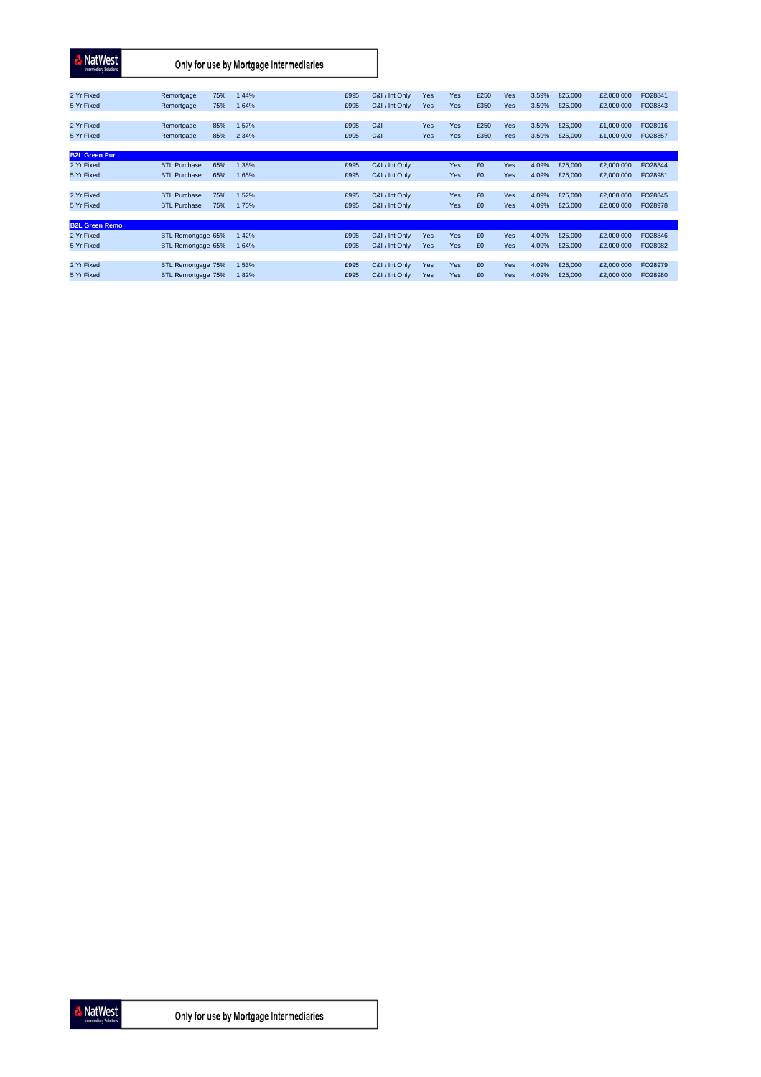| <b>NatWest</b><br><b>Intermediary Solutions</b> | Only for use by Mortgage Intermediaries |                |              |                |            |            |              |            |                |                    |                          |                    |
|-------------------------------------------------|-----------------------------------------|----------------|--------------|----------------|------------|------------|--------------|------------|----------------|--------------------|--------------------------|--------------------|
| 2 Yr Fixed                                      | 75%<br>Remortgage                       | 1.44%          | £995         | C&I / Int Only | Yes        | Yes        | £250         | Yes        | 3.59%          | £25,000            | £2,000,000               | FO28841            |
| 5 Yr Fixed                                      | 75%<br>Remortgage                       | 1.64%          | £995         | C&I / Int Only | Yes        | Yes        | £350         | Yes        | 3.59%          | £25,000            | £2,000,000               | FO28843            |
|                                                 |                                         |                |              |                |            |            |              |            |                |                    |                          |                    |
| 2 Yr Fixed<br>5 Yr Fixed                        | 85%<br>Remortgage<br>85%<br>Remortgage  | 1.57%<br>2.34% | £995<br>£995 | C&I<br>C&I     | Yes<br>Yes | Yes<br>Yes | £250<br>£350 | Yes<br>Yes | 3.59%<br>3.59% | £25,000<br>£25,000 | £1,000,000<br>£1,000,000 | FO28916<br>FO28857 |
|                                                 |                                         |                |              |                |            |            |              |            |                |                    |                          |                    |
| <b>B2L Green Pur</b>                            |                                         |                |              |                |            |            |              |            |                |                    |                          |                    |
| 2 Yr Fixed                                      | <b>BTL Purchase</b><br>65%              | 1.38%          | £995         | C&I / Int Only |            | Yes        | £0           | <b>Yes</b> | 4.09%          | £25,000            | £2,000,000               | FO28844            |
| 5 Yr Fixed                                      | <b>BTL Purchase</b><br>65%              | 1.65%          | £995         | C&I / Int Only |            | Yes        | £0           | Yes        | 4.09%          | £25,000            | £2,000,000               | FO28981            |
| 2 Yr Fixed                                      | <b>BTL Purchase</b><br>75%              | 1.52%          | £995         | C&I / Int Only |            | Yes        | £0           | <b>Yes</b> | 4.09%          | £25,000            | £2,000,000               | FO28845            |
| 5 Yr Fixed                                      | <b>BTL Purchase</b><br>75%              | 1.75%          | £995         | C&I / Int Only |            | Yes        | £0           | <b>Yes</b> | 4.09%          | £25,000            | £2,000,000               | FO28978            |
|                                                 |                                         |                |              |                |            |            |              |            |                |                    |                          |                    |
| <b>B2L Green Remo</b>                           |                                         |                |              |                |            |            |              |            |                |                    |                          |                    |
| 2 Yr Fixed                                      | BTL Remortgage 65%                      | 1.42%          | £995         | C&I / Int Only | Yes        | Yes        | £0           | Yes        | 4.09%          | £25,000            | £2,000,000               | FO28846            |
| 5 Yr Fixed                                      | BTL Remortgage 65%                      | 1.64%          | £995         | C&I / Int Only | Yes        | Yes        | £0           | Yes        | 4.09%          | £25,000            | £2,000,000               | FO28982            |
|                                                 |                                         |                |              |                |            |            |              |            |                |                    |                          |                    |
| 2 Yr Fixed                                      | BTL Remortgage 75%                      | 1.53%          | £995         | C&I / Int Only | Yes        | Yes        | £0           | Yes        | 4.09%          | £25,000            | £2,000,000               | FO28979            |
| 5 Yr Fixed                                      | BTL Remortgage 75%                      | 1.82%          | £995         | C&I / Int Only | Yes        | Yes        | £0           | Yes        | 4.09%          | £25,000            | £2,000,000               | FO28980            |



Only for use by Mortgage Intermediaries